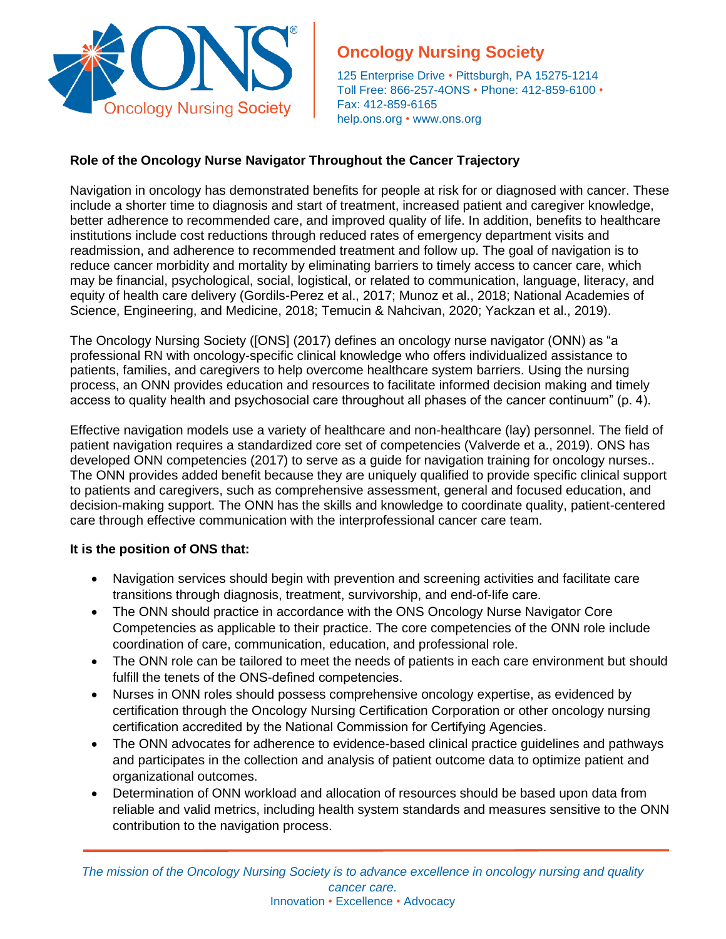

# **Oncology Nursing Society**

125 Enterprise Drive • Pittsburgh, PA 15275-1214 Toll Free: 866-257-4ONS • Phone: 412-859-6100 • Fax: 412-859-6165 help.ons.org • [www.ons.org](http://www.ons.org/)

## **Role of the Oncology Nurse Navigator Throughout the Cancer Trajectory**

Navigation in oncology has demonstrated benefits for people at risk for or diagnosed with cancer. These include a shorter time to diagnosis and start of treatment, increased patient and caregiver knowledge, better adherence to recommended care, and improved quality of life. In addition, benefits to healthcare institutions include cost reductions through reduced rates of emergency department visits and readmission, and adherence to recommended treatment and follow up. The goal of navigation is to reduce cancer morbidity and mortality by eliminating barriers to timely access to cancer care, which may be financial, psychological, social, logistical, or related to communication, language, literacy, and equity of health care delivery (Gordils-Perez et al., 2017; Munoz et al., 2018; National Academies of Science, Engineering, and Medicine, 2018; Temucin & Nahcivan, 2020; Yackzan et al., 2019).

The Oncology Nursing Society ([ONS] (2017) defines an oncology nurse navigator (ONN) as "a professional RN with oncology-specific clinical knowledge who offers individualized assistance to patients, families, and caregivers to help overcome healthcare system barriers. Using the nursing process, an ONN provides education and resources to facilitate informed decision making and timely access to quality health and psychosocial care throughout all phases of the cancer continuum" (p. 4).

Effective navigation models use a variety of healthcare and non-healthcare (lay) personnel. The field of patient navigation requires a standardized core set of competencies (Valverde et a., 2019). ONS has developed ONN competencies (2017) to serve as a guide for navigation training for oncology nurses.. The ONN provides added benefit because they are uniquely qualified to provide specific clinical support to patients and caregivers, such as comprehensive assessment, general and focused education, and decision-making support. The ONN has the skills and knowledge to coordinate quality, patient-centered care through effective communication with the interprofessional cancer care team.

## **It is the position of ONS that:**

- Navigation services should begin with prevention and screening activities and facilitate care transitions through diagnosis, treatment, survivorship, and end-of-life care.
- The ONN should practice in accordance with the ONS Oncology Nurse Navigator Core Competencies as applicable to their practice. The core competencies of the ONN role include coordination of care, communication, education, and professional role.
- The ONN role can be tailored to meet the needs of patients in each care environment but should fulfill the tenets of the ONS-defined competencies.
- Nurses in ONN roles should possess comprehensive oncology expertise, as evidenced by certification through the Oncology Nursing Certification Corporation or other oncology nursing certification accredited by the National Commission for Certifying Agencies.
- The ONN advocates for adherence to evidence-based clinical practice guidelines and pathways and participates in the collection and analysis of patient outcome data to optimize patient and organizational outcomes.
- Determination of ONN workload and allocation of resources should be based upon data from reliable and valid metrics, including health system standards and measures sensitive to the ONN contribution to the navigation process.